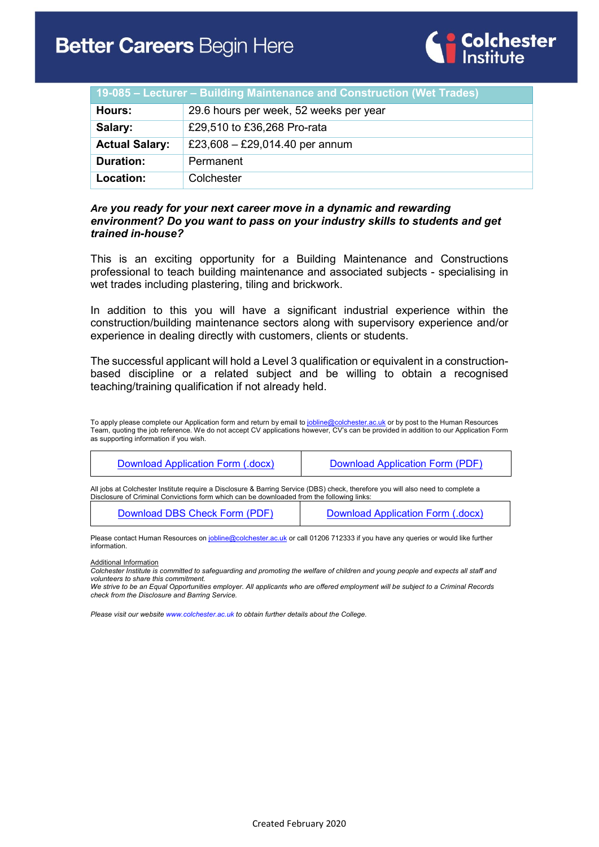

| 19-085 – Lecturer – Building Maintenance and Construction (Wet Trades) |                                        |  |
|------------------------------------------------------------------------|----------------------------------------|--|
| Hours:                                                                 | 29.6 hours per week, 52 weeks per year |  |
| Salary:                                                                | £29,510 to £36,268 Pro-rata            |  |
| <b>Actual Salary:</b>                                                  | £23,608 - £29,014.40 per annum         |  |
| <b>Duration:</b>                                                       | Permanent                              |  |
| Location:                                                              | Colchester                             |  |

#### *Are you ready for your next career move in a dynamic and rewarding environment? Do you want to pass on your industry skills to students and get trained in-house?*

This is an exciting opportunity for a Building Maintenance and Constructions professional to teach building maintenance and associated subjects - specialising in wet trades including plastering, tiling and brickwork.

In addition to this you will have a significant industrial experience within the construction/building maintenance sectors along with supervisory experience and/or experience in dealing directly with customers, clients or students.

The successful applicant will hold a Level 3 qualification or equivalent in a constructionbased discipline or a related subject and be willing to obtain a recognised teaching/training qualification if not already held.

To apply please complete our Application form and return by email t[o jobline@colchester.ac.uk](mailto:jobline@colchester.ac.uk) or by post to the Human Resources Team, quoting the job reference. We do not accept CV applications however, CV's can be provided in addition to our Application Form as supporting information if you wish.

| Download Application Form (.docx)                                                                                                                                                                                            | Download Application Form (PDF)   |  |
|------------------------------------------------------------------------------------------------------------------------------------------------------------------------------------------------------------------------------|-----------------------------------|--|
| All jobs at Colchester Institute require a Disclosure & Barring Service (DBS) check, therefore you will also need to complete a<br>Disclosure of Criminal Convictions form which can be downloaded from the following links: |                                   |  |
| Download DBS Check Form (PDF)                                                                                                                                                                                                | Download Application Form (.docx) |  |

Please contact Human Resources on *jobline@colchester.ac.uk* or call 01206 712333 if you have any queries or would like further information.

Additional Information

*Colchester Institute is committed to safeguarding and promoting the welfare of children and young people and expects all staff and volunteers to share this commitment.*

*We strive to be an Equal Opportunities employer. All applicants who are offered employment will be subject to a Criminal Records check from the Disclosure and Barring Service.*

*Please visit our websit[e www.colchester.ac.uk](http://www.colchester.ac.uk/) to obtain further details about the College.*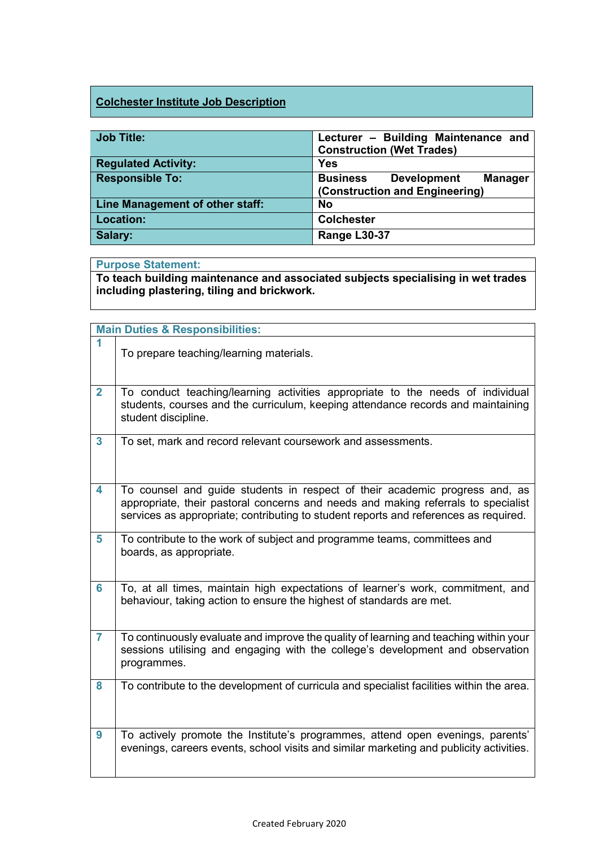## **Colchester Institute Job Description**

| <b>Job Title:</b>               | Lecturer - Building Maintenance and<br><b>Construction (Wet Trades)</b>                   |  |  |
|---------------------------------|-------------------------------------------------------------------------------------------|--|--|
| <b>Regulated Activity:</b>      | <b>Yes</b>                                                                                |  |  |
| <b>Responsible To:</b>          | <b>Business</b><br><b>Development</b><br><b>Manager</b><br>(Construction and Engineering) |  |  |
| Line Management of other staff: | No                                                                                        |  |  |
| <b>Location:</b>                | <b>Colchester</b>                                                                         |  |  |
| Salary:                         | Range L30-37                                                                              |  |  |

### **Purpose Statement:**

**To teach building maintenance and associated subjects specialising in wet trades including plastering, tiling and brickwork.**

|                | <b>Main Duties &amp; Responsibilities:</b>                                                                                                                                                                                                               |
|----------------|----------------------------------------------------------------------------------------------------------------------------------------------------------------------------------------------------------------------------------------------------------|
| 1              | To prepare teaching/learning materials.                                                                                                                                                                                                                  |
| $\overline{2}$ | To conduct teaching/learning activities appropriate to the needs of individual<br>students, courses and the curriculum, keeping attendance records and maintaining<br>student discipline.                                                                |
| $\mathbf{3}$   | To set, mark and record relevant coursework and assessments.                                                                                                                                                                                             |
| 4              | To counsel and guide students in respect of their academic progress and, as<br>appropriate, their pastoral concerns and needs and making referrals to specialist<br>services as appropriate; contributing to student reports and references as required. |
| 5              | To contribute to the work of subject and programme teams, committees and<br>boards, as appropriate.                                                                                                                                                      |
| $6\phantom{a}$ | To, at all times, maintain high expectations of learner's work, commitment, and<br>behaviour, taking action to ensure the highest of standards are met.                                                                                                  |
| $\overline{7}$ | To continuously evaluate and improve the quality of learning and teaching within your<br>sessions utilising and engaging with the college's development and observation<br>programmes.                                                                   |
| 8              | To contribute to the development of curricula and specialist facilities within the area.                                                                                                                                                                 |
| 9              | To actively promote the Institute's programmes, attend open evenings, parents'<br>evenings, careers events, school visits and similar marketing and publicity activities.                                                                                |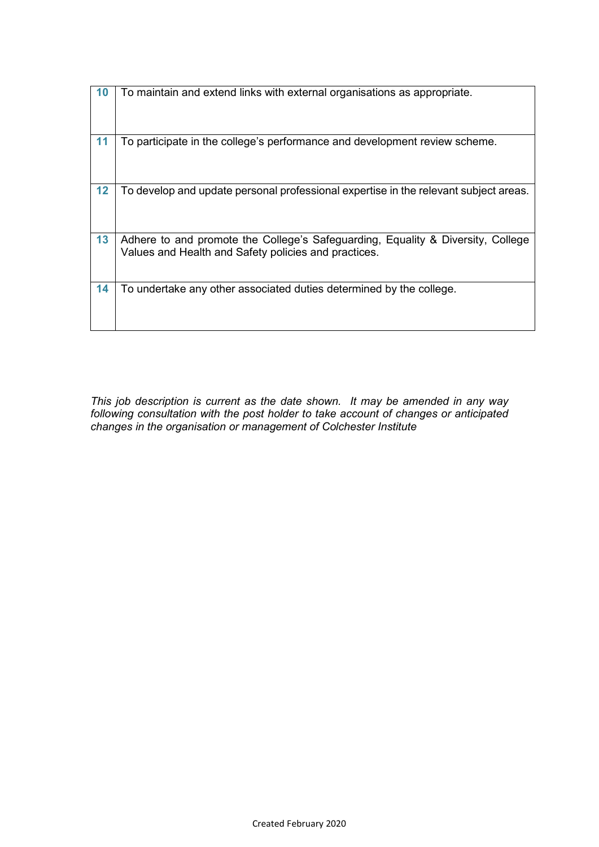| 10 | To maintain and extend links with external organisations as appropriate.                                                                |
|----|-----------------------------------------------------------------------------------------------------------------------------------------|
| 11 | To participate in the college's performance and development review scheme.                                                              |
| 12 | To develop and update personal professional expertise in the relevant subject areas.                                                    |
| 13 | Adhere to and promote the College's Safeguarding, Equality & Diversity, College<br>Values and Health and Safety policies and practices. |
| 14 | To undertake any other associated duties determined by the college.                                                                     |

*This job description is current as the date shown. It may be amended in any way following consultation with the post holder to take account of changes or anticipated changes in the organisation or management of Colchester Institute*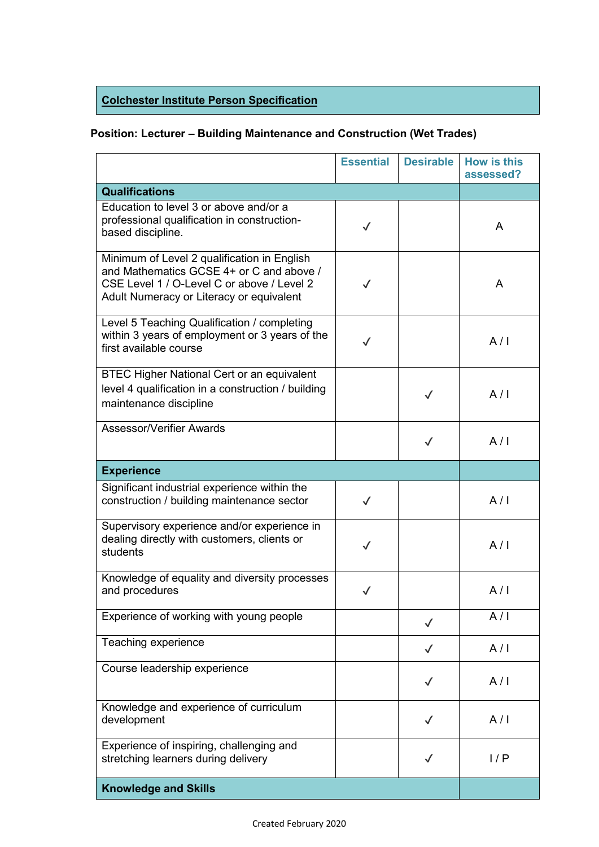# **Colchester Institute Person Specification**

## **Position: Lecturer – Building Maintenance and Construction (Wet Trades)**

|                                                                                                                                                                                   | <b>Essential</b> | <b>Desirable</b> | <b>How is this</b><br>assessed? |
|-----------------------------------------------------------------------------------------------------------------------------------------------------------------------------------|------------------|------------------|---------------------------------|
| <b>Qualifications</b>                                                                                                                                                             |                  |                  |                                 |
| Education to level 3 or above and/or a<br>professional qualification in construction-<br>based discipline.                                                                        | $\checkmark$     |                  | A                               |
| Minimum of Level 2 qualification in English<br>and Mathematics GCSE 4+ or C and above /<br>CSE Level 1 / O-Level C or above / Level 2<br>Adult Numeracy or Literacy or equivalent | $\checkmark$     |                  | A                               |
| Level 5 Teaching Qualification / completing<br>within 3 years of employment or 3 years of the<br>first available course                                                           | $\checkmark$     |                  | A/I                             |
| <b>BTEC Higher National Cert or an equivalent</b><br>level 4 qualification in a construction / building<br>maintenance discipline                                                 |                  | $\checkmark$     | A/I                             |
| Assessor/Verifier Awards                                                                                                                                                          |                  | $\checkmark$     | A/I                             |
| <b>Experience</b>                                                                                                                                                                 |                  |                  |                                 |
| Significant industrial experience within the<br>construction / building maintenance sector                                                                                        | $\checkmark$     |                  | A/I                             |
| Supervisory experience and/or experience in<br>dealing directly with customers, clients or<br>students                                                                            | $\checkmark$     |                  | A/I                             |
| Knowledge of equality and diversity processes<br>and procedures                                                                                                                   | $\checkmark$     |                  | A/I                             |
| Experience of working with young people                                                                                                                                           |                  | $\checkmark$     | A/I                             |
| Teaching experience                                                                                                                                                               |                  | $\checkmark$     | A/I                             |
| Course leadership experience                                                                                                                                                      |                  | $\checkmark$     | A/I                             |
| Knowledge and experience of curriculum<br>development                                                                                                                             |                  | $\checkmark$     | A/I                             |
| Experience of inspiring, challenging and<br>stretching learners during delivery                                                                                                   |                  | $\checkmark$     | 1/P                             |
| <b>Knowledge and Skills</b>                                                                                                                                                       |                  |                  |                                 |